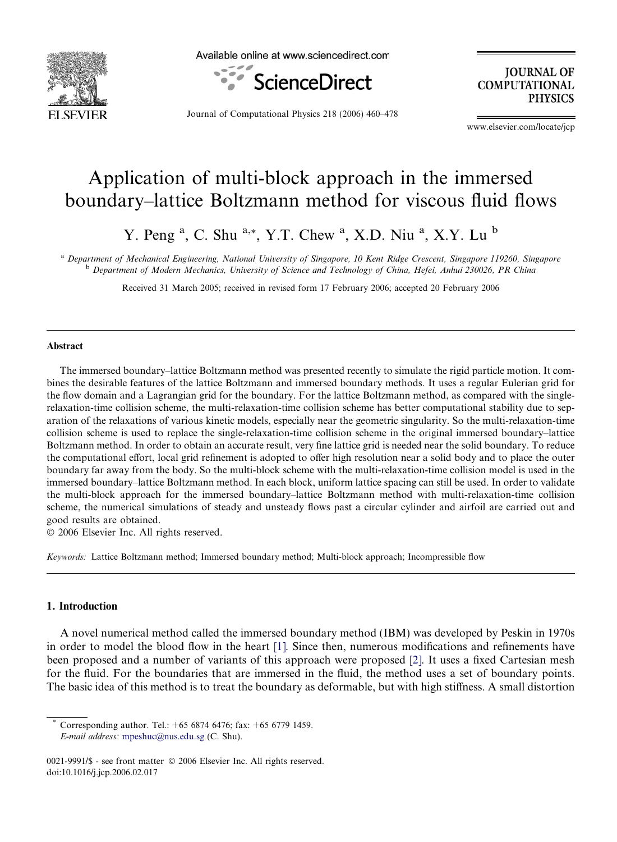

Available online at www.sciencedirect.com



**JOURNAL OF COMPUTATIONAL PHYSICS** 

Journal of Computational Physics 218 (2006) 460–478

www.elsevier.com/locate/jcp

# Application of multi-block approach in the immersed boundary–lattice Boltzmann method for viscous fluid flows

Y. Peng<sup>a</sup>, C. Shu<sup>a,\*</sup>, Y.T. Chew<sup>a</sup>, X.D. Niu<sup>a</sup>, X.Y. Lu<sup>b</sup>

a Department of Mechanical Engineering, National University of Singapore, 10 Kent Ridge Crescent, Singapore 119260, Singapore <sup>b</sup> Department of Modern Mechanics, University of Science and Technology of China, Hefei, Anhui 230026, PR China

Received 31 March 2005; received in revised form 17 February 2006; accepted 20 February 2006

### Abstract

The immersed boundary–lattice Boltzmann method was presented recently to simulate the rigid particle motion. It combines the desirable features of the lattice Boltzmann and immersed boundary methods. It uses a regular Eulerian grid for the flow domain and a Lagrangian grid for the boundary. For the lattice Boltzmann method, as compared with the singlerelaxation-time collision scheme, the multi-relaxation-time collision scheme has better computational stability due to separation of the relaxations of various kinetic models, especially near the geometric singularity. So the multi-relaxation-time collision scheme is used to replace the single-relaxation-time collision scheme in the original immersed boundary–lattice Boltzmann method. In order to obtain an accurate result, very fine lattice grid is needed near the solid boundary. To reduce the computational effort, local grid refinement is adopted to offer high resolution near a solid body and to place the outer boundary far away from the body. So the multi-block scheme with the multi-relaxation-time collision model is used in the immersed boundary–lattice Boltzmann method. In each block, uniform lattice spacing can still be used. In order to validate the multi-block approach for the immersed boundary–lattice Boltzmann method with multi-relaxation-time collision scheme, the numerical simulations of steady and unsteady flows past a circular cylinder and airfoil are carried out and good results are obtained.

 $© 2006 Elsevier Inc. All rights reserved.$ 

Keywords: Lattice Boltzmann method; Immersed boundary method; Multi-block approach; Incompressible flow

## 1. Introduction

A novel numerical method called the immersed boundary method (IBM) was developed by Peskin in 1970s in order to model the blood flow in the heart [\[1\].](#page-18-0) Since then, numerous modifications and refinements have been proposed and a number of variants of this approach were proposed [\[2\].](#page-18-0) It uses a fixed Cartesian mesh for the fluid. For the boundaries that are immersed in the fluid, the method uses a set of boundary points. The basic idea of this method is to treat the boundary as deformable, but with high stiffness. A small distortion

Corresponding author. Tel.:  $+65\,6874\,6476$ ; fax:  $+65\,6779\,1459$ . E-mail address: [mpeshuc@nus.edu.sg](mailto:mpeshuc@nus.edu.sg) (C. Shu).

<sup>0021-9991/\$ -</sup> see front matter © 2006 Elsevier Inc. All rights reserved. doi:10.1016/j.jcp.2006.02.017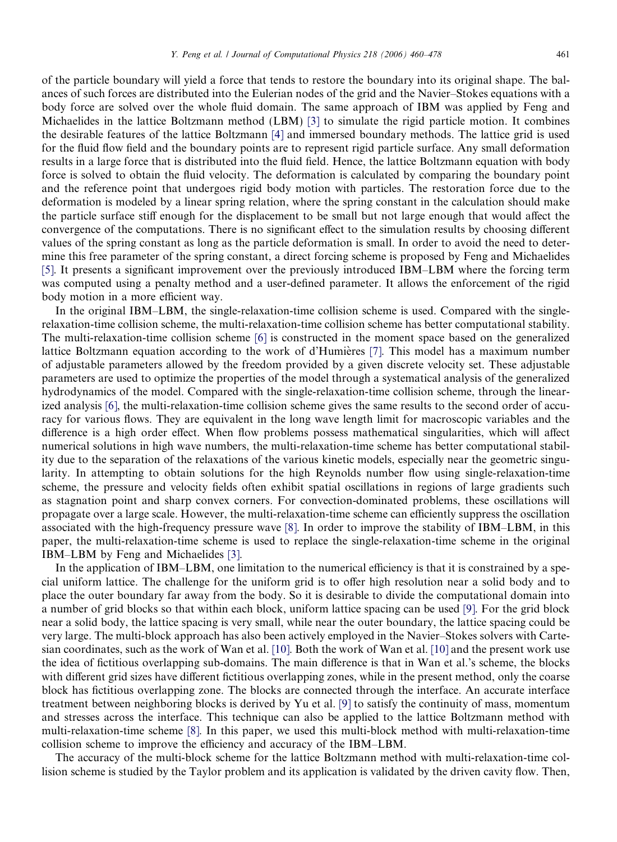of the particle boundary will yield a force that tends to restore the boundary into its original shape. The balances of such forces are distributed into the Eulerian nodes of the grid and the Navier–Stokes equations with a body force are solved over the whole fluid domain. The same approach of IBM was applied by Feng and Michaelides in the lattice Boltzmann method (LBM) [\[3\]](#page-18-0) to simulate the rigid particle motion. It combines the desirable features of the lattice Boltzmann [\[4\]](#page-18-0) and immersed boundary methods. The lattice grid is used for the fluid flow field and the boundary points are to represent rigid particle surface. Any small deformation results in a large force that is distributed into the fluid field. Hence, the lattice Boltzmann equation with body force is solved to obtain the fluid velocity. The deformation is calculated by comparing the boundary point and the reference point that undergoes rigid body motion with particles. The restoration force due to the deformation is modeled by a linear spring relation, where the spring constant in the calculation should make the particle surface stiff enough for the displacement to be small but not large enough that would affect the convergence of the computations. There is no significant effect to the simulation results by choosing different values of the spring constant as long as the particle deformation is small. In order to avoid the need to determine this free parameter of the spring constant, a direct forcing scheme is proposed by Feng and Michaelides [\[5\]](#page-18-0). It presents a significant improvement over the previously introduced IBM–LBM where the forcing term was computed using a penalty method and a user-defined parameter. It allows the enforcement of the rigid body motion in a more efficient way.

In the original IBM–LBM, the single-relaxation-time collision scheme is used. Compared with the singlerelaxation-time collision scheme, the multi-relaxation-time collision scheme has better computational stability. The multi-relaxation-time collision scheme [\[6\]](#page-18-0) is constructed in the moment space based on the generalized lattice Boltzmann equation according to the work of d'Humières [\[7\].](#page-18-0) This model has a maximum number of adjustable parameters allowed by the freedom provided by a given discrete velocity set. These adjustable parameters are used to optimize the properties of the model through a systematical analysis of the generalized hydrodynamics of the model. Compared with the single-relaxation-time collision scheme, through the linearized analysis [\[6\]](#page-18-0), the multi-relaxation-time collision scheme gives the same results to the second order of accuracy for various flows. They are equivalent in the long wave length limit for macroscopic variables and the difference is a high order effect. When flow problems possess mathematical singularities, which will affect numerical solutions in high wave numbers, the multi-relaxation-time scheme has better computational stability due to the separation of the relaxations of the various kinetic models, especially near the geometric singularity. In attempting to obtain solutions for the high Reynolds number flow using single-relaxation-time scheme, the pressure and velocity fields often exhibit spatial oscillations in regions of large gradients such as stagnation point and sharp convex corners. For convection-dominated problems, these oscillations will propagate over a large scale. However, the multi-relaxation-time scheme can efficiently suppress the oscillation associated with the high-frequency pressure wave [\[8\].](#page-18-0) In order to improve the stability of IBM–LBM, in this paper, the multi-relaxation-time scheme is used to replace the single-relaxation-time scheme in the original IBM–LBM by Feng and Michaelides [\[3\]](#page-18-0).

In the application of IBM–LBM, one limitation to the numerical efficiency is that it is constrained by a special uniform lattice. The challenge for the uniform grid is to offer high resolution near a solid body and to place the outer boundary far away from the body. So it is desirable to divide the computational domain into a number of grid blocks so that within each block, uniform lattice spacing can be used [\[9\]](#page-18-0). For the grid block near a solid body, the lattice spacing is very small, while near the outer boundary, the lattice spacing could be very large. The multi-block approach has also been actively employed in the Navier–Stokes solvers with Cartesian coordinates, such as the work of Wan et al. [\[10\]](#page-18-0). Both the work of Wan et al. [\[10\]](#page-18-0) and the present work use the idea of fictitious overlapping sub-domains. The main difference is that in Wan et al.'s scheme, the blocks with different grid sizes have different fictitious overlapping zones, while in the present method, only the coarse block has fictitious overlapping zone. The blocks are connected through the interface. An accurate interface treatment between neighboring blocks is derived by Yu et al. [\[9\]](#page-18-0) to satisfy the continuity of mass, momentum and stresses across the interface. This technique can also be applied to the lattice Boltzmann method with multi-relaxation-time scheme [\[8\].](#page-18-0) In this paper, we used this multi-block method with multi-relaxation-time collision scheme to improve the efficiency and accuracy of the IBM–LBM.

The accuracy of the multi-block scheme for the lattice Boltzmann method with multi-relaxation-time collision scheme is studied by the Taylor problem and its application is validated by the driven cavity flow. Then,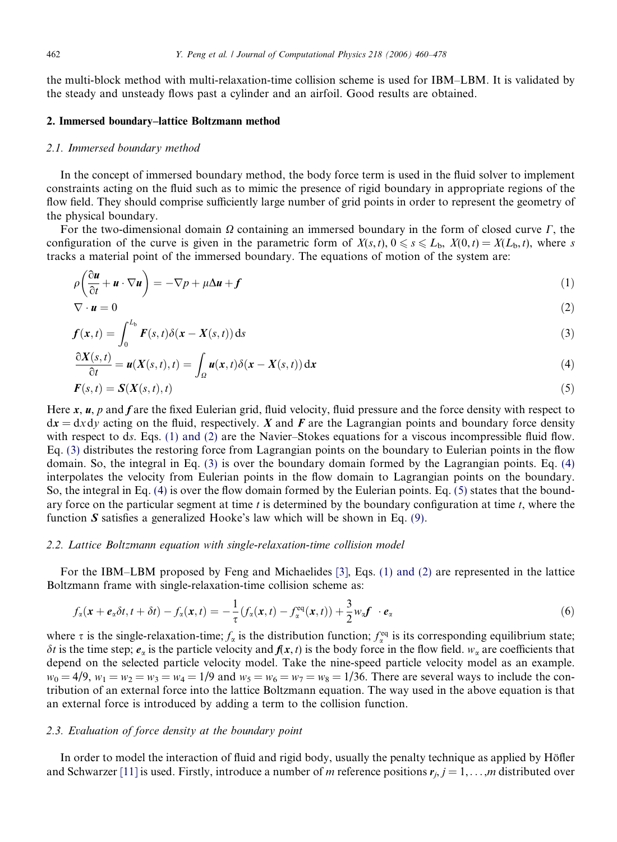<span id="page-2-0"></span>the multi-block method with multi-relaxation-time collision scheme is used for IBM–LBM. It is validated by the steady and unsteady flows past a cylinder and an airfoil. Good results are obtained.

## 2. Immersed boundary–lattice Boltzmann method

#### 2.1. Immersed boundary method

In the concept of immersed boundary method, the body force term is used in the fluid solver to implement constraints acting on the fluid such as to mimic the presence of rigid boundary in appropriate regions of the flow field. They should comprise sufficiently large number of grid points in order to represent the geometry of the physical boundary.

For the two-dimensional domain  $\Omega$  containing an immersed boundary in the form of closed curve  $\Gamma$ , the configuration of the curve is given in the parametric form of  $X(s,t)$ ,  $0 \le s \le L_b$ ,  $X(0,t) = X(L_b,t)$ , where s tracks a material point of the immersed boundary. The equations of motion of the system are:

$$
\rho\left(\frac{\partial \boldsymbol{u}}{\partial t} + \boldsymbol{u} \cdot \nabla \boldsymbol{u}\right) = -\nabla p + \mu \Delta \boldsymbol{u} + \boldsymbol{f} \tag{1}
$$

$$
\nabla \cdot \mathbf{u} = 0 \tag{2}
$$

$$
f(x,t) = \int_0^{L_b} F(s,t)\delta(x - X(s,t)) ds
$$
\n(3)

$$
\frac{\partial X(s,t)}{\partial t} = \boldsymbol{u}(X(s,t),t) = \int_{\Omega} \boldsymbol{u}(x,t) \delta(x - X(s,t)) \, \mathrm{d}x \tag{4}
$$

$$
F(s,t) = S(X(s,t),t) \tag{5}
$$

Here  $x$ ,  $u$ ,  $p$  and  $f$  are the fixed Eulerian grid, fluid velocity, fluid pressure and the force density with respect to  $dx = dx dy$  acting on the fluid, respectively. X and F are the Lagrangian points and boundary force density with respect to ds. Eqs. (1) and (2) are the Navier–Stokes equations for a viscous incompressible fluid flow. Eq. (3) distributes the restoring force from Lagrangian points on the boundary to Eulerian points in the flow domain. So, the integral in Eq. (3) is over the boundary domain formed by the Lagrangian points. Eq. (4) interpolates the velocity from Eulerian points in the flow domain to Lagrangian points on the boundary. So, the integral in Eq. (4) is over the flow domain formed by the Eulerian points. Eq. (5) states that the boundary force on the particular segment at time t is determined by the boundary configuration at time t, where the function  $S$  satisfies a generalized Hooke's law which will be shown in Eq. [\(9\).](#page-3-0)

## 2.2. Lattice Boltzmann equation with single-relaxation-time collision model

For the IBM–LBM proposed by Feng and Michaelides [\[3\]](#page-18-0), Eqs. (1) and (2) are represented in the lattice Boltzmann frame with single-relaxation-time collision scheme as:

$$
f_{\alpha}(\mathbf{x}+\boldsymbol{e}_{\alpha}\delta t, t+\delta t)-f_{\alpha}(\mathbf{x}, t)=-\frac{1}{\tau}\left(f_{\alpha}(\mathbf{x}, t)-f_{\alpha}^{\text{eq}}(\mathbf{x}, t)\right)+\frac{3}{2}w_{\alpha}f\cdot\boldsymbol{e}_{\alpha}\tag{6}
$$

where  $\tau$  is the single-relaxation-time;  $f_{\alpha}$  is the distribution function;  $f_{\alpha}^{eq}$  is its corresponding equilibrium state;  $\delta t$  is the time step;  $e_{\alpha}$  is the particle velocity and  $f(x, t)$  is the body force in the flow field.  $w_{\alpha}$  are coefficients that depend on the selected particle velocity model. Take the nine-speed particle velocity model as an example.  $w_0 = 4/9$ ,  $w_1 = w_2 = w_3 = w_4 = 1/9$  and  $w_5 = w_6 = w_7 = w_8 = 1/36$ . There are several ways to include the contribution of an external force into the lattice Boltzmann equation. The way used in the above equation is that an external force is introduced by adding a term to the collision function.

## 2.3. Evaluation of force density at the boundary point

In order to model the interaction of fluid and rigid body, usually the penalty technique as applied by Höfler and Schwarzer [\[11\]](#page-18-0) is used. Firstly, introduce a number of m reference positions  $r_j$ ,  $j = 1, \ldots, m$  distributed over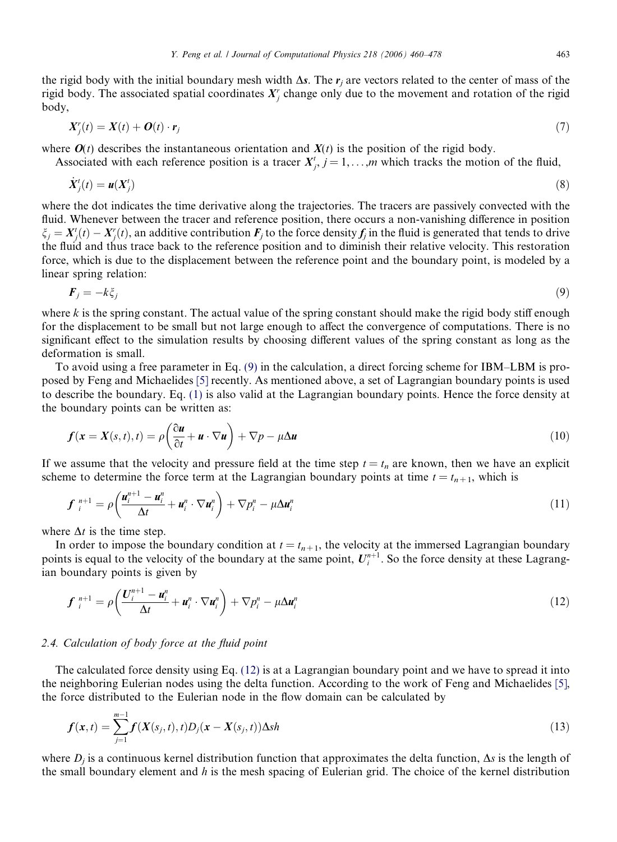<span id="page-3-0"></span>the rigid body with the initial boundary mesh width  $\Delta s$ . The  $r_i$  are vectors related to the center of mass of the rigid body. The associated spatial coordinates  $X_j^r$  change only due to the movement and rotation of the rigid body,

$$
X_j^r(t) = X(t) + O(t) \cdot \mathbf{r}_j \tag{7}
$$

where  $O(t)$  describes the instantaneous orientation and  $X(t)$  is the position of the rigid body.

Associated with each reference position is a tracer  $X_j^i$ ,  $j = 1, \ldots, m$  which tracks the motion of the fluid,

$$
\dot{X}_j'(t) = \mathbf{u}(X_j') \tag{8}
$$

where the dot indicates the time derivative along the trajectories. The tracers are passively convected with the fluid. Whenever between the tracer and reference position, there occurs a non-vanishing difference in position  $\xi_j = X'_j(t) - X'_j(t)$ , an additive contribution  $F_j$  to the force density  $f_j$  in the fluid is generated that tends to drive the fluid and thus trace back to the reference position and to diminish their relative velocity. This restoration force, which is due to the displacement between the reference point and the boundary point, is modeled by a linear spring relation:

$$
\boldsymbol{F}_j = -k\xi_j \tag{9}
$$

where k is the spring constant. The actual value of the spring constant should make the rigid body stiff enough for the displacement to be small but not large enough to affect the convergence of computations. There is no significant effect to the simulation results by choosing different values of the spring constant as long as the deformation is small.

To avoid using a free parameter in Eq. (9) in the calculation, a direct forcing scheme for IBM–LBM is proposed by Feng and Michaelides [\[5\]](#page-18-0) recently. As mentioned above, a set of Lagrangian boundary points is used to describe the boundary. Eq. [\(1\)](#page-2-0) is also valid at the Lagrangian boundary points. Hence the force density at the boundary points can be written as:

$$
f(\mathbf{x} = X(s,t), t) = \rho \left( \frac{\partial \mathbf{u}}{\partial t} + \mathbf{u} \cdot \nabla \mathbf{u} \right) + \nabla p - \mu \Delta \mathbf{u}
$$
\n(10)

If we assume that the velocity and pressure field at the time step  $t = t_n$  are known, then we have an explicit scheme to determine the force term at the Lagrangian boundary points at time  $t = t_{n+1}$ , which is

$$
\boldsymbol{f}_{i}^{n+1} = \rho \left( \frac{\boldsymbol{u}_{i}^{n+1} - \boldsymbol{u}_{i}^{n}}{\Delta t} + \boldsymbol{u}_{i}^{n} \cdot \nabla \boldsymbol{u}_{i}^{n} \right) + \nabla p_{i}^{n} - \mu \Delta \boldsymbol{u}_{i}^{n}
$$
\n(11)

where  $\Delta t$  is the time step.

In order to impose the boundary condition at  $t = t_{n+1}$ , the velocity at the immersed Lagrangian boundary points is equal to the velocity of the boundary at the same point,  $U_i^{n+1}$ . So the force density at these Lagrangian boundary points is given by

$$
\boldsymbol{f}_{i}^{n+1} = \rho \left( \frac{\boldsymbol{U}_{i}^{n+1} - \boldsymbol{u}_{i}^{n}}{\Delta t} + \boldsymbol{u}_{i}^{n} \cdot \nabla \boldsymbol{u}_{i}^{n} \right) + \nabla p_{i}^{n} - \mu \Delta \boldsymbol{u}_{i}^{n}
$$
\n(12)

## 2.4. Calculation of body force at the fluid point

The calculated force density using Eq. (12) is at a Lagrangian boundary point and we have to spread it into the neighboring Eulerian nodes using the delta function. According to the work of Feng and Michaelides [\[5\]](#page-18-0), the force distributed to the Eulerian node in the flow domain can be calculated by

$$
f(x,t) = \sum_{j=1}^{m-1} f(X(s_j,t),t)D_j(x - X(s_j,t))\Delta sh
$$
\n(13)

where  $D_i$  is a continuous kernel distribution function that approximates the delta function,  $\Delta s$  is the length of the small boundary element and  $h$  is the mesh spacing of Eulerian grid. The choice of the kernel distribution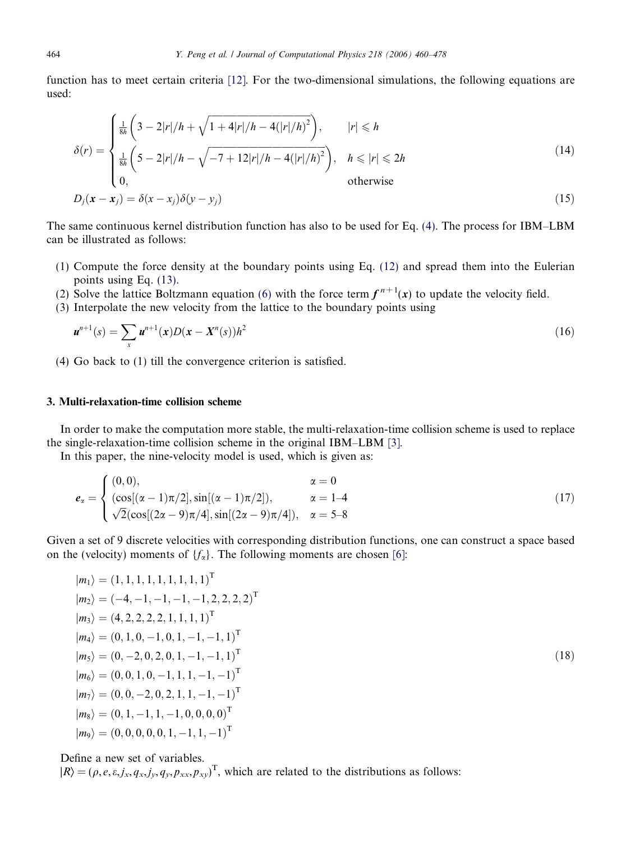<span id="page-4-0"></span>function has to meet certain criteria [\[12\].](#page-18-0) For the two-dimensional simulations, the following equations are used:

$$
\delta(r) = \begin{cases}\n\frac{1}{8h} \left(3 - 2|r|/h + \sqrt{1 + 4|r|/h - 4(|r|/h)^2}\right), & |r| \le h \\
\frac{1}{8h} \left(5 - 2|r|/h - \sqrt{-7 + 12|r|/h - 4(|r|/h)^2}\right), & h \le |r| \le 2h \\
0, & \text{otherwise}\n\end{cases}
$$
\n(14)\n
$$
D_j(\mathbf{x} - \mathbf{x}_j) = \delta(x - x_j)\delta(y - y_j)
$$

The same continuous kernel distribution function has also to be used for Eq. (4). The process for IBM–LBM can be illustrated as follows:

- (1) Compute the force density at the boundary points using Eq. [\(12\)](#page-3-0) and spread them into the Eulerian points using Eq. [\(13\).](#page-3-0)
- (2) Solve the lattice Boltzmann equation [\(6\)](#page-2-0) with the force term  $f^{n+1}(x)$  to update the velocity field.
- (3) Interpolate the new velocity from the lattice to the boundary points using

$$
\mathbf{u}^{n+1}(s) = \sum_{x} \mathbf{u}^{n+1}(x) D(x - X^n(s))h^2
$$
\n(16)

(4) Go back to (1) till the convergence criterion is satisfied.

## 3. Multi-relaxation-time collision scheme

In order to make the computation more stable, the multi-relaxation-time collision scheme is used to replace the single-relaxation-time collision scheme in the original IBM–LBM [\[3\].](#page-18-0)

In this paper, the nine-velocity model is used, which is given as:

$$
e_{\alpha} = \begin{cases} (0,0), & \alpha = 0 \\ (\cos[(\alpha - 1)\pi/2], \sin[(\alpha - 1)\pi/2]), & \alpha = 1-4 \\ \sqrt{2}(\cos[(2\alpha - 9)\pi/4], \sin[(2\alpha - 9)\pi/4]), & \alpha = 5-8 \end{cases}
$$
(17)

Given a set of 9 discrete velocities with corresponding distribution functions, one can construct a space based on the (velocity) moments of  $\{f_\alpha\}$ . The following moments are chosen [\[6\]](#page-18-0):

$$
|m_1\rangle = (1, 1, 1, 1, 1, 1, 1, 1, 1)^{\mathrm{T}}
$$
  
\n
$$
|m_2\rangle = (-4, -1, -1, -1, -1, 2, 2, 2, 2)^{\mathrm{T}}
$$
  
\n
$$
|m_3\rangle = (4, 2, 2, 2, 2, 1, 1, 1, 1)^{\mathrm{T}}
$$
  
\n
$$
|m_4\rangle = (0, 1, 0, -1, 0, 1, -1, -1, 1)^{\mathrm{T}}
$$
  
\n
$$
|m_5\rangle = (0, -2, 0, 2, 0, 1, -1, -1, 1)^{\mathrm{T}}
$$
  
\n
$$
|m_6\rangle = (0, 0, 1, 0, -1, 1, 1, -1, -1)^{\mathrm{T}}
$$
  
\n
$$
|m_7\rangle = (0, 0, -2, 0, 2, 1, 1, -1, -1)^{\mathrm{T}}
$$
  
\n
$$
|m_8\rangle = (0, 1, -1, 1, -1, 0, 0, 0, 0)^{\mathrm{T}}
$$
  
\n
$$
|m_9\rangle = (0, 0, 0, 0, 0, 1, -1, 1, -1)^{\mathrm{T}}
$$

ð18Þ

Define a new set of variables.

 $|R\rangle = (\rho, e, \varepsilon, j_x, q_x, j_y, q_y, p_{xx}, p_{xy})^\text{T}$ , which are related to the distributions as follows: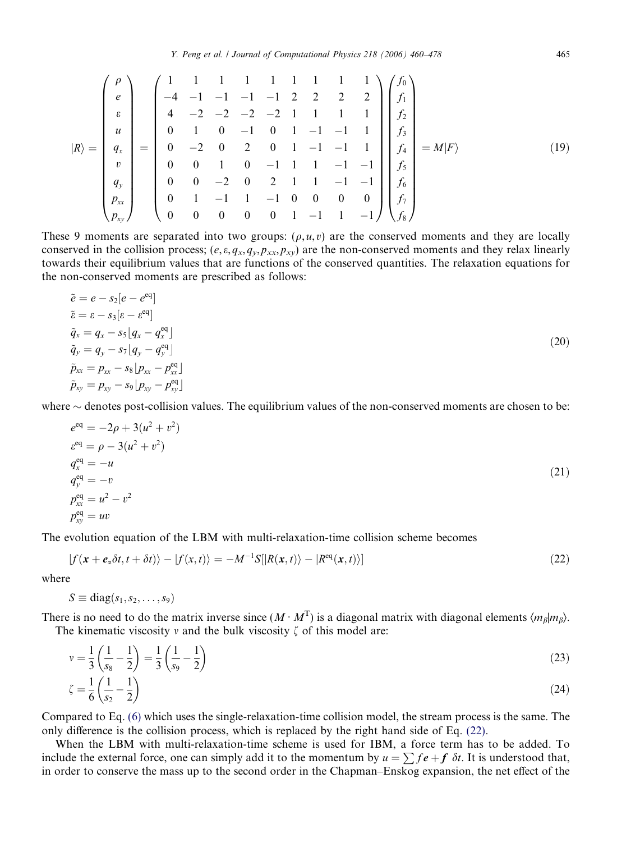$$
|R\rangle = \begin{pmatrix} \rho \\ e \\ \varepsilon \\ u \\ q_x \\ v \\ q_y \\ p_{xx} \end{pmatrix} = \begin{pmatrix} 1 & 1 & 1 & 1 & 1 & 1 & 1 & 1 & 1 \\ -4 & -1 & -1 & -1 & -1 & 2 & 2 & 2 & 2 \\ 4 & -2 & -2 & -2 & -2 & 1 & 1 & 1 & 1 \\ 0 & 1 & 0 & -1 & 0 & 1 & -1 & -1 & 1 \\ 0 & -2 & 0 & 2 & 0 & 1 & -1 & -1 & 1 \\ 0 & 0 & 1 & 0 & -1 & 1 & 1 & -1 & -1 \\ 0 & 0 & -2 & 0 & 2 & 1 & 1 & -1 & -1 & 1 \\ 0 & 1 & -1 & 1 & -1 & 0 & 0 & 0 & 0 \\ 0 & 0 & 1 & -1 & 1 & -1 & 0 & 0 & 0 & 0 \\ 0 & 0 & 0 & 0 & 0 & 1 & -1 & 1 & -1 \end{pmatrix} \begin{pmatrix} f_0 \\ f_1 \\ f_2 \\ f_3 \\ f_4 \\ f_5 \\ f_6 \\ f_7 \\ f_8 \end{pmatrix} = M|F\rangle
$$
 (19)

These 9 moments are separated into two groups:  $(\rho, u, v)$  are the conserved moments and they are locally conserved in the collision process;  $(e, \varepsilon, q_x, q_y, p_{xx}, p_{xy})$  are the non-conserved moments and they relax linearly towards their equilibrium values that are functions of the conserved quantities. The relaxation equations for the non-conserved moments are prescribed as follows:

$$
\tilde{e} = e - s_2[e - e^{\text{eq}}]
$$
\n
$$
\tilde{e} = \varepsilon - s_3[\varepsilon - \varepsilon^{\text{eq}}]
$$
\n
$$
\tilde{q}_x = q_x - s_5[q_x - q_x^{\text{eq}}]
$$
\n
$$
\tilde{q}_y = q_y - s_7[q_y - q_y^{\text{eq}}]
$$
\n
$$
\tilde{p}_{xx} = p_{xx} - s_8[p_{xx} - p_{xx}^{\text{eq}}]
$$
\n
$$
\tilde{p}_{xy} = p_{xy} - s_9[p_{xy} - p_{xy}^{\text{eq}}]
$$
\n(20)

where  $\sim$  denotes post-collision values. The equilibrium values of the non-conserved moments are chosen to be:

$$
e^{eq} = -2\rho + 3(u^2 + v^2)
$$
  
\n
$$
e^{eq} = \rho - 3(u^2 + v^2)
$$
  
\n
$$
q_x^{eq} = -u
$$
  
\n
$$
q_y^{eq} = -v
$$
  
\n
$$
p_{xx}^{eq} = u^2 - v^2
$$
  
\n(21)  
\n
$$
p_{xy}^{eq} = uv
$$

The evolution equation of the LBM with multi-relaxation-time collision scheme becomes

$$
|f(\mathbf{x} + \mathbf{e}_\alpha \delta t, t + \delta t)\rangle - |f(\mathbf{x}, t)\rangle = -M^{-1}S[|R(\mathbf{x}, t)\rangle - |R^{\text{eq}}(\mathbf{x}, t)\rangle]
$$
\n(22)

where

$$
S \equiv \text{diag}(s_1, s_2, \ldots, s_9)
$$

There is no need to do the matrix inverse since  $(M \cdot M^T)$  is a diagonal matrix with diagonal elements  $\langle m_\beta | m_\beta \rangle$ . The kinematic viscosity v and the bulk viscosity  $\zeta$  of this model are:

$$
v = \frac{1}{3} \left( \frac{1}{s_8} - \frac{1}{2} \right) = \frac{1}{3} \left( \frac{1}{s_9} - \frac{1}{2} \right)
$$
(23)  

$$
\zeta = \frac{1}{6} \left( \frac{1}{s_2} - \frac{1}{2} \right)
$$
(24)

Compared to Eq. [\(6\)](#page-2-0) which uses the single-relaxation-time collision model, the stream process is the same. The only difference is the collision process, which is replaced by the right hand side of Eq. (22).

When the LBM with multi-relaxation-time scheme is used for IBM, a force term has to be added. To include the external force, one can simply add it to the momentum by  $u = \sum f e + f \delta t$ . It is understood that, in order to conserve the mass up to the second order in the Chapman–Enskog expansion, the net effect of the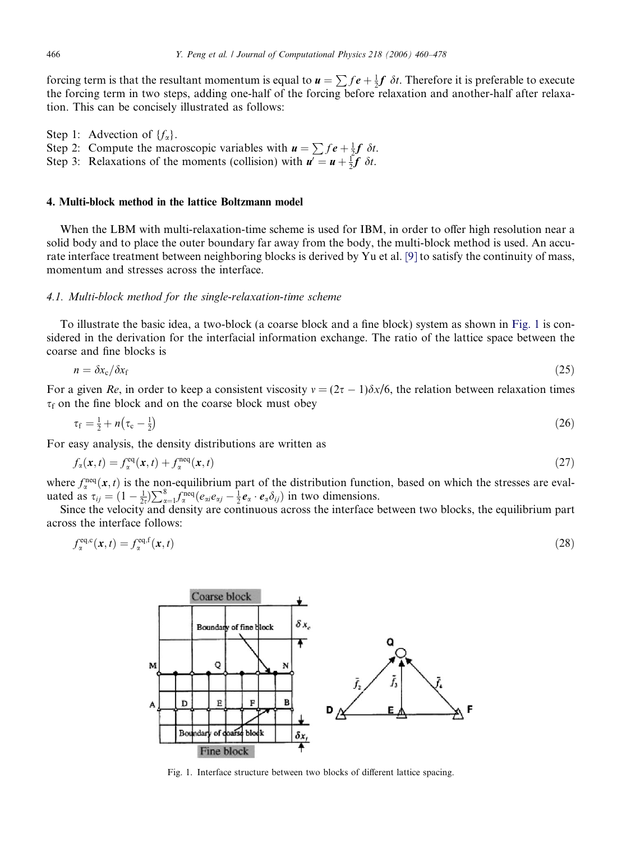<span id="page-6-0"></span>forcing term is that the resultant momentum is equal to  $u = \sum fe + \frac{1}{2}f \, \delta t$ . Therefore it is preferable to execute the forcing term in two steps, adding one-half of the forcing before relaxation and another-half after relaxation. This can be concisely illustrated as follows:

Step 1: Advection of  $\{f_{\alpha}\}.$ Step 2: Compute the macroscopic variables with  $\mathbf{u} = \sum f \mathbf{e} + \frac{1}{2} \mathbf{f} \delta t$ . Step 3: Relaxations of the moments (collision) with  $u' = u + \frac{1}{2}f \delta t$ .

## 4. Multi-block method in the lattice Boltzmann model

When the LBM with multi-relaxation-time scheme is used for IBM, in order to offer high resolution near a solid body and to place the outer boundary far away from the body, the multi-block method is used. An accurate interface treatment between neighboring blocks is derived by Yu et al. [\[9\]](#page-18-0) to satisfy the continuity of mass, momentum and stresses across the interface.

## 4.1. Multi-block method for the single-relaxation-time scheme

To illustrate the basic idea, a two-block (a coarse block and a fine block) system as shown in Fig. 1 is considered in the derivation for the interfacial information exchange. The ratio of the lattice space between the coarse and fine blocks is

$$
n = \delta x_{\rm c}/\delta x_{\rm f} \tag{25}
$$

For a given Re, in order to keep a consistent viscosity  $v = (2\tau - 1)\delta x/6$ , the relation between relaxation times  $\tau_f$  on the fine block and on the coarse block must obey

$$
\tau_{\rm f} = \frac{1}{2} + n(\tau_{\rm c} - \frac{1}{2}) \tag{26}
$$

For easy analysis, the density distributions are written as

$$
f_{\alpha}(\mathbf{x},t) = f_{\alpha}^{\text{eq}}(\mathbf{x},t) + f_{\alpha}^{\text{neq}}(\mathbf{x},t)
$$
\n(27)

where  $f_{\alpha}^{\text{neq}}(x, t)$  is the non-equilibrium part of the distribution function, based on which the stresses are evalwhere  $J_{\alpha}$  ( $\alpha$ ,  $\nu$ ) is the constraint part of the distribution ration<br>uated as  $\tau_{ij} = (1 - \frac{1}{2\tau})\sum_{\alpha=1}^{8} f_{\alpha}^{\text{neq}}(e_{\alpha i}e_{\alpha j} - \frac{1}{2}e_{\alpha} \cdot e_{\alpha}\delta_{ij})$  in two dimensions.

Since the velocity and density are continuous across the interface between two blocks, the equilibrium part across the interface follows:

$$
f_{\alpha}^{\text{eq,c}}(\mathbf{x},t) = f_{\alpha}^{\text{eq,f}}(\mathbf{x},t) \tag{28}
$$



Fig. 1. Interface structure between two blocks of different lattice spacing.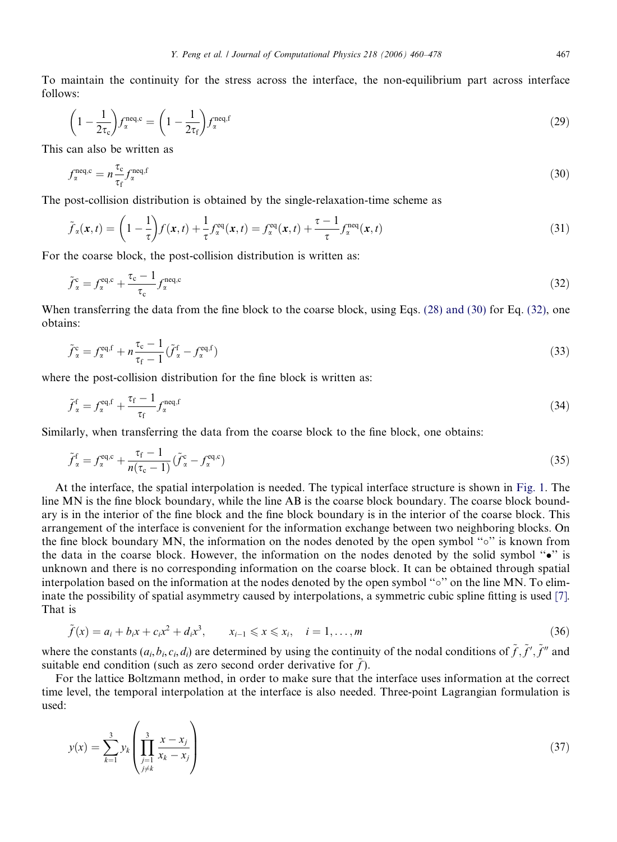To maintain the continuity for the stress across the interface, the non-equilibrium part across interface follows:

$$
\left(1 - \frac{1}{2\tau_c}\right) f_{\alpha}^{\text{neq},c} = \left(1 - \frac{1}{2\tau_f}\right) f_{\alpha}^{\text{neq},f} \tag{29}
$$

This can also be written as

$$
f_{\alpha}^{\text{neq},c} = n \frac{\tau_c}{\tau_f} f_{\alpha}^{\text{neq},f} \tag{30}
$$

The post-collision distribution is obtained by the single-relaxation-time scheme as

$$
\tilde{f}_{\alpha}(\mathbf{x},t) = \left(1 - \frac{1}{\tau}\right) f(\mathbf{x},t) + \frac{1}{\tau} f_{\alpha}^{\text{eq}}(\mathbf{x},t) = f_{\alpha}^{\text{eq}}(\mathbf{x},t) + \frac{\tau - 1}{\tau} f_{\alpha}^{\text{neq}}(\mathbf{x},t)
$$
\n(31)

For the coarse block, the post-collision distribution is written as:

$$
\tilde{f}_{\alpha}^{\rm c} = f_{\alpha}^{\rm eq,c} + \frac{\tau_{\rm c} - 1}{\tau_{\rm c}} f_{\alpha}^{\rm neq,c} \tag{32}
$$

When transferring the data from the fine block to the coarse block, using Eqs. [\(28\) and \(30\)](#page-6-0) for Eq. (32), one obtains:

$$
\tilde{f}_{\alpha}^{\rm c} = f_{\alpha}^{\rm eq,f} + n \frac{\tau_{\rm c} - 1}{\tau_{\rm f} - 1} (\tilde{f}_{\alpha}^{\rm f} - f_{\alpha}^{\rm eq,f})
$$
\n(33)

where the post-collision distribution for the fine block is written as:

$$
\tilde{f}_{\alpha}^{\mathbf{f}} = f_{\alpha}^{\text{eq},\mathbf{f}} + \frac{\tau_{\mathbf{f}} - 1}{\tau_{\mathbf{f}}} f_{\alpha}^{\text{neq},\mathbf{f}} \tag{34}
$$

Similarly, when transferring the data from the coarse block to the fine block, one obtains:

$$
\tilde{f}_{\alpha}^{\mathsf{f}} = f_{\alpha}^{\text{eq,c}} + \frac{\tau_{\mathsf{f}} - 1}{n(\tau_{\mathsf{c}} - 1)} (\tilde{f}_{\alpha}^{\mathsf{c}} - f_{\alpha}^{\text{eq,c}})
$$
\n(35)

At the interface, the spatial interpolation is needed. The typical interface structure is shown in [Fig. 1.](#page-6-0) The line MN is the fine block boundary, while the line AB is the coarse block boundary. The coarse block boundary is in the interior of the fine block and the fine block boundary is in the interior of the coarse block. This arrangement of the interface is convenient for the information exchange between two neighboring blocks. On the fine block boundary MN, the information on the nodes denoted by the open symbol "o" is known from the data in the coarse block. However, the information on the nodes denoted by the solid symbol " $\bullet$ " is unknown and there is no corresponding information on the coarse block. It can be obtained through spatial interpolation based on the information at the nodes denoted by the open symbol " $\circ$ " on the line MN. To eliminate the possibility of spatial asymmetry caused by interpolations, a symmetric cubic spline fitting is used [\[7\]](#page-18-0). That is

$$
\tilde{f}(x) = a_i + b_i x + c_i x^2 + d_i x^3, \qquad x_{i-1} \leq x \leq x_i, \quad i = 1, ..., m
$$
\n(36)

where the constants  $(a_i, b_i, c_i, d_i)$  are determined by using the continuity of the nodal conditions of  $\tilde{f}, \tilde{f}', \tilde{f}''$  and suitable end condition (such as zero second order derivative for  $\tilde{f}$ ).

For the lattice Boltzmann method, in order to make sure that the interface uses information at the correct time level, the temporal interpolation at the interface is also needed. Three-point Lagrangian formulation is used:

$$
y(x) = \sum_{k=1}^{3} y_k \left( \prod_{\substack{j=1 \ j \neq k}}^{3} \frac{x - x_j}{x_k - x_j} \right)
$$
 (37)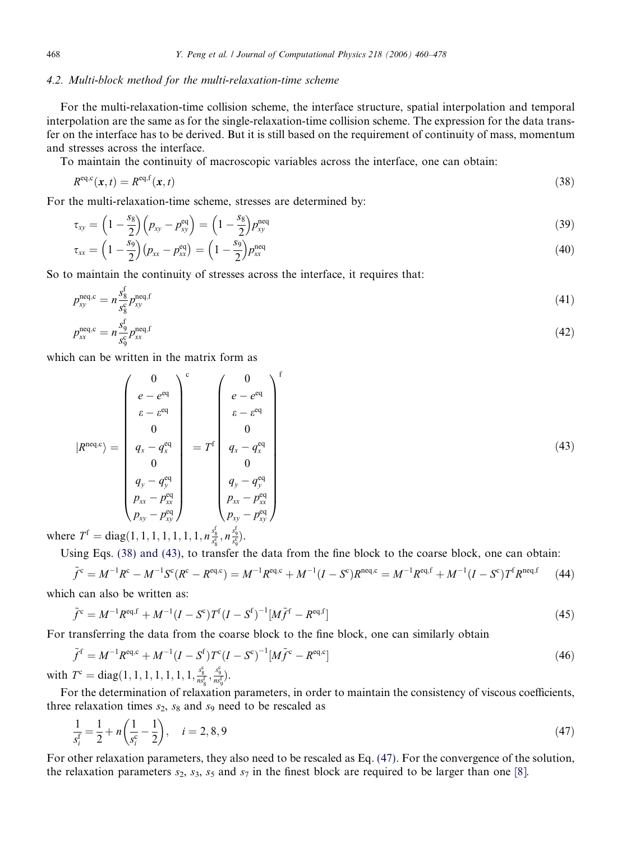#### 4.2. Multi-block method for the multi-relaxation-time scheme

For the multi-relaxation-time collision scheme, the interface structure, spatial interpolation and temporal interpolation are the same as for the single-relaxation-time collision scheme. The expression for the data transfer on the interface has to be derived. But it is still based on the requirement of continuity of mass, momentum and stresses across the interface.

To maintain the continuity of macroscopic variables across the interface, one can obtain:

$$
R^{\text{eq,c}}(\mathbf{x},t) = R^{\text{eq,f}}(\mathbf{x},t) \tag{38}
$$

For the multi-relaxation-time scheme, stresses are determined by:

$$
\tau_{xy} = \left(1 - \frac{s_8}{2}\right)\left(p_{xy} - p_{xy}^{\text{eq}}\right) = \left(1 - \frac{s_8}{2}\right)p_{xy}^{\text{neq}} \tag{39}
$$

$$
\tau_{xx} = \left(1 - \frac{s_9}{2}\right)(p_{xx} - p_{xx}^{\text{eq}}) = \left(1 - \frac{s_9}{2}\right)p_{xx}^{\text{neq}} \tag{40}
$$

So to maintain the continuity of stresses across the interface, it requires that:

$$
p_{xy}^{\text{neq},c} = n \frac{s_{\text{S}}^{\text{f}}}{s_{\text{S}}^{\text{e}}} p_{xy}^{\text{neq},\text{f}}
$$
(41)

$$
p_{xx}^{\text{neq},c} = n \frac{s_9^f}{s_9^e} p_{xx}^{\text{neq},f} \tag{42}
$$

which can be written in the matrix form as

$$
|R^{\text{neq},c}\rangle = \begin{pmatrix} 0 \\ e - e^{\text{eq}} \\ \varepsilon - e^{\text{eq}} \\ 0 \\ 0 \\ q_x - q_x^{\text{eq}} \\ 0 \\ q_y - q_y^{\text{eq}} \\ p_{xx} - p_{xx}^{\text{eq}} \end{pmatrix} = T^{\text{f}} \begin{pmatrix} 0 \\ e - e^{\text{eq}} \\ \varepsilon - e^{\text{eq}} \\ 0 \\ 0 \\ q_x - q_x^{\text{eq}} \\ q_y - q_y^{\text{eq}} \\ q_y - q_y^{\text{eq}} \\ p_{xx} - p_{xx}^{\text{eq}} \\ p_{xy} - p_{xy}^{\text{eq}} \end{pmatrix} (43)
$$

where  $T^{\text{f}} = \text{diag}(1, 1, 1, 1, 1, 1, 1, n \frac{s_{\text{s}}^{\text{f}}}{s_{\text{s}}^{\text{g}}}, n \frac{s_{\text{g}}^{\text{f}}}{s_{\text{s}}^{\text{c}}})$ .

Using Eqs. (38) and (43), to transfer the data from the fine block to the coarse block, one can obtain:

$$
\tilde{f}^c = M^{-1}R^c - M^{-1}S^c(R^c - R^{eq,c}) = M^{-1}R^{eq,c} + M^{-1}(I - S^c)R^{neq,c} = M^{-1}R^{eq,f} + M^{-1}(I - S^c)T^fR^{neq,f}
$$
\n(44)

which can also be written as:

$$
\tilde{f}^c = M^{-1} R^{eq,f} + M^{-1} (I - S^c) T^f (I - S^f)^{-1} [M \tilde{f}^f - R^{eq,f}]
$$
\n(45)

For transferring the data from the coarse block to the fine block, one can similarly obtain

$$
\tilde{f}^{\rm f} = M^{-1} R^{\rm eq,c} + M^{-1} (I - S^{\rm f}) T^{\rm c} (I - S^{\rm c})^{-1} [M \tilde{f}^{\rm c} - R^{\rm eq,c}]
$$
\n(46)

with  $T^c = diag(1, 1, 1, 1, 1, 1, 1, \frac{s_g^c}{ns_g^f}, \frac{s_g^c}{ns_g^f}).$ 

For the determination of relaxation parameters, in order to maintain the consistency of viscous coefficients, three relaxation times  $s_2$ ,  $s_8$  and  $s_9$  need to be rescaled as

$$
\frac{1}{s_i^f} = \frac{1}{2} + n\left(\frac{1}{s_i^c} - \frac{1}{2}\right), \quad i = 2, 8, 9
$$
\n<sup>(47)</sup>

For other relaxation parameters, they also need to be rescaled as Eq. (47). For the convergence of the solution, the relaxation parameters  $s_2$ ,  $s_3$ ,  $s_5$  and  $s_7$  in the finest block are required to be larger than one [\[8\].](#page-18-0)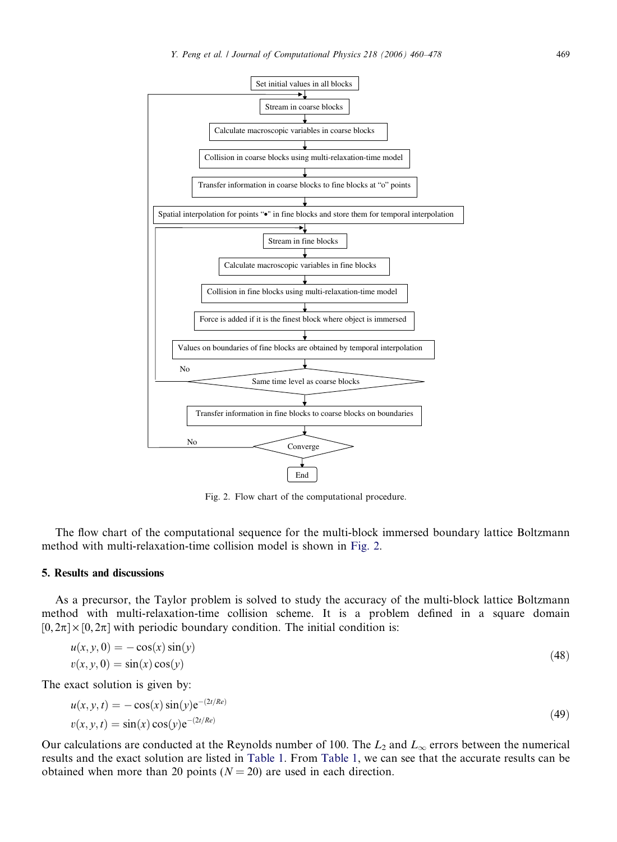

Fig. 2. Flow chart of the computational procedure.

The flow chart of the computational sequence for the multi-block immersed boundary lattice Boltzmann method with multi-relaxation-time collision model is shown in Fig. 2.

# 5. Results and discussions

As a precursor, the Taylor problem is solved to study the accuracy of the multi-block lattice Boltzmann method with multi-relaxation-time collision scheme. It is a problem defined in a square domain  $[0, 2\pi] \times [0, 2\pi]$  with periodic boundary condition. The initial condition is:

$$
u(x, y, 0) = -\cos(x)\sin(y)
$$
  

$$
v(x, y, 0) = \sin(x)\cos(y)
$$
 (48)

The exact solution is given by:

$$
u(x, y, t) = -\cos(x)\sin(y)e^{-(2t/Re)}
$$
  
\n
$$
v(x, y, t) = \sin(x)\cos(y)e^{-(2t/Re)}
$$
\n(49)

Our calculations are conducted at the Reynolds number of 100. The  $L_2$  and  $L_{\infty}$  errors between the numerical results and the exact solution are listed in [Table 1.](#page-10-0) From [Table 1,](#page-10-0) we can see that the accurate results can be obtained when more than 20 points ( $N = 20$ ) are used in each direction.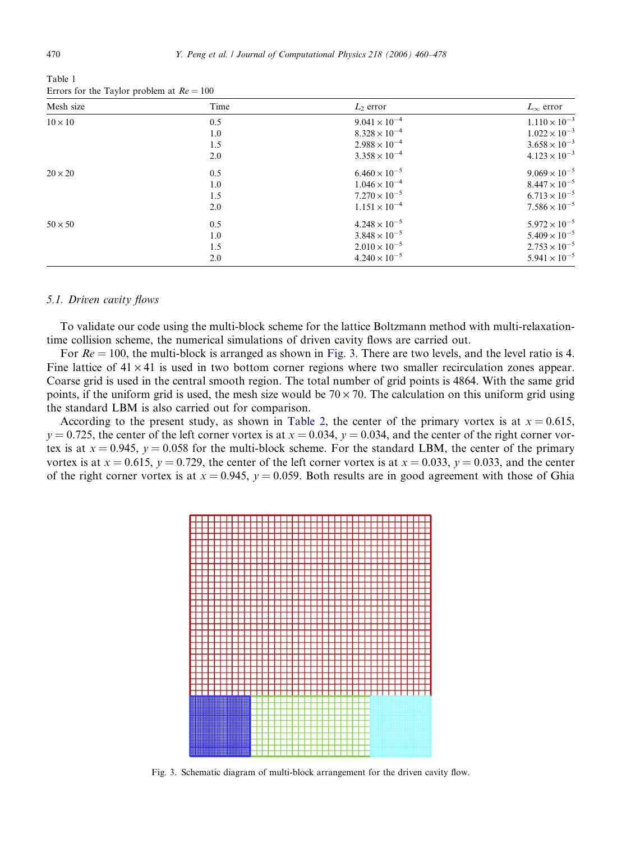| Mesh size      | Time | $L_2$ error            | $L_{\infty}$ error     |
|----------------|------|------------------------|------------------------|
| $10 \times 10$ | 0.5  | $9.041 \times 10^{-4}$ | $1.110 \times 10^{-3}$ |
|                | 1.0  | $8.328 \times 10^{-4}$ | $1.022 \times 10^{-3}$ |
|                | 1.5  | $2.988 \times 10^{-4}$ | $3.658 \times 10^{-3}$ |
|                | 2.0  | $3.358 \times 10^{-4}$ | $4.123 \times 10^{-3}$ |
| $20 \times 20$ | 0.5  | $6.460 \times 10^{-5}$ | $9.069 \times 10^{-5}$ |
|                | 1.0  | $1.046 \times 10^{-4}$ | $8.447 \times 10^{-5}$ |
|                | 1.5  | $7.270 \times 10^{-5}$ | $6.713 \times 10^{-5}$ |
|                | 2.0  | $1.151 \times 10^{-4}$ | $7.586 \times 10^{-5}$ |
| $50 \times 50$ | 0.5  | $4.248 \times 10^{-5}$ | $5.972 \times 10^{-5}$ |
|                | 1.0  | $3.848 \times 10^{-5}$ | $5.409 \times 10^{-5}$ |
|                | 1.5  | $2.010 \times 10^{-5}$ | $2.753 \times 10^{-5}$ |
|                | 2.0  | $4.240 \times 10^{-5}$ | $5.941 \times 10^{-5}$ |

<span id="page-10-0"></span>Table 1 Errors for the Taylor problem at  $Re = 100$ 

#### 5.1. Driven cavity flows

To validate our code using the multi-block scheme for the lattice Boltzmann method with multi-relaxationtime collision scheme, the numerical simulations of driven cavity flows are carried out.

For  $Re = 100$ , the multi-block is arranged as shown in Fig. 3. There are two levels, and the level ratio is 4. Fine lattice of  $41 \times 41$  is used in two bottom corner regions where two smaller recirculation zones appear. Coarse grid is used in the central smooth region. The total number of grid points is 4864. With the same grid points, if the uniform grid is used, the mesh size would be  $70 \times 70$ . The calculation on this uniform grid using the standard LBM is also carried out for comparison.

According to the present study, as shown in [Table 2](#page-11-0), the center of the primary vortex is at  $x = 0.615$ ,  $y = 0.725$ , the center of the left corner vortex is at  $x = 0.034$ ,  $y = 0.034$ , and the center of the right corner vortex is at  $x = 0.945$ ,  $y = 0.058$  for the multi-block scheme. For the standard LBM, the center of the primary vortex is at  $x = 0.615$ ,  $y = 0.729$ , the center of the left corner vortex is at  $x = 0.033$ ,  $y = 0.033$ , and the center of the right corner vortex is at  $x = 0.945$ ,  $y = 0.059$ . Both results are in good agreement with those of Ghia



Fig. 3. Schematic diagram of multi-block arrangement for the driven cavity flow.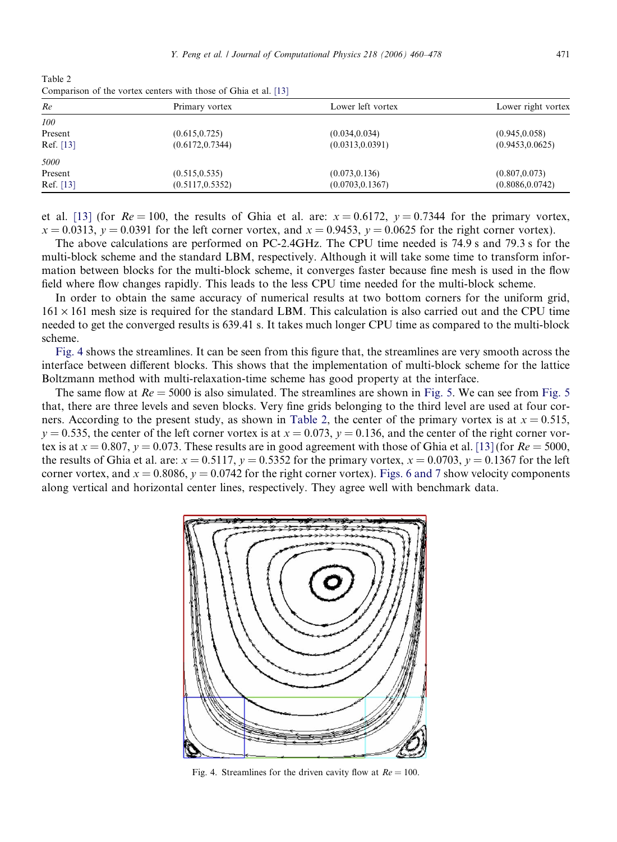<span id="page-11-0"></span>Table 2 Comparison of the vortex centers with those of Ghia et al. [\[13\]](#page-18-0)

| Re        | Primary vortex   | Lower left vortex | Lower right vortex |
|-----------|------------------|-------------------|--------------------|
| 100       |                  |                   |                    |
| Present   | (0.615, 0.725)   | (0.034, 0.034)    | (0.945, 0.058)     |
| Ref. [13] | (0.6172, 0.7344) | (0.0313, 0.0391)  | (0.9453, 0.0625)   |
| 5000      |                  |                   |                    |
| Present   | (0.515, 0.535)   | (0.073, 0.136)    | (0.807, 0.073)     |
| Ref. [13] | (0.5117, 0.5352) | (0.0703, 0.1367)  | (0.8086, 0.0742)   |
|           |                  |                   |                    |

et al. [\[13\]](#page-18-0) (for  $Re = 100$ , the results of Ghia et al. are:  $x = 0.6172$ ,  $y = 0.7344$  for the primary vortex,  $x = 0.0313$ ,  $y = 0.0391$  for the left corner vortex, and  $x = 0.9453$ ,  $y = 0.0625$  for the right corner vortex).

The above calculations are performed on PC-2.4GHz. The CPU time needed is 74.9 s and 79.3 s for the multi-block scheme and the standard LBM, respectively. Although it will take some time to transform information between blocks for the multi-block scheme, it converges faster because fine mesh is used in the flow field where flow changes rapidly. This leads to the less CPU time needed for the multi-block scheme.

In order to obtain the same accuracy of numerical results at two bottom corners for the uniform grid,  $161 \times 161$  mesh size is required for the standard LBM. This calculation is also carried out and the CPU time needed to get the converged results is 639.41 s. It takes much longer CPU time as compared to the multi-block scheme.

Fig. 4 shows the streamlines. It can be seen from this figure that, the streamlines are very smooth across the interface between different blocks. This shows that the implementation of multi-block scheme for the lattice Boltzmann method with multi-relaxation-time scheme has good property at the interface.

The same flow at  $Re = 5000$  is also simulated. The streamlines are shown in [Fig. 5](#page-12-0). We can see from Fig. 5 that, there are three levels and seven blocks. Very fine grids belonging to the third level are used at four corners. According to the present study, as shown in Table 2, the center of the primary vortex is at  $x = 0.515$ ,  $y = 0.535$ , the center of the left corner vortex is at  $x = 0.073$ ,  $y = 0.136$ , and the center of the right corner vortex is at  $x = 0.807$ ,  $y = 0.073$ . These results are in good agreement with those of Ghia et al. [\[13\]](#page-18-0) (for  $Re = 5000$ , the results of Ghia et al. are:  $x = 0.5117$ ,  $y = 0.5352$  for the primary vortex,  $x = 0.0703$ ,  $y = 0.1367$  for the left corner vortex, and  $x = 0.8086$ ,  $y = 0.0742$  for the right corner vortex). [Figs. 6 and 7](#page-12-0) show velocity components along vertical and horizontal center lines, respectively. They agree well with benchmark data.



Fig. 4. Streamlines for the driven cavity flow at  $Re = 100$ .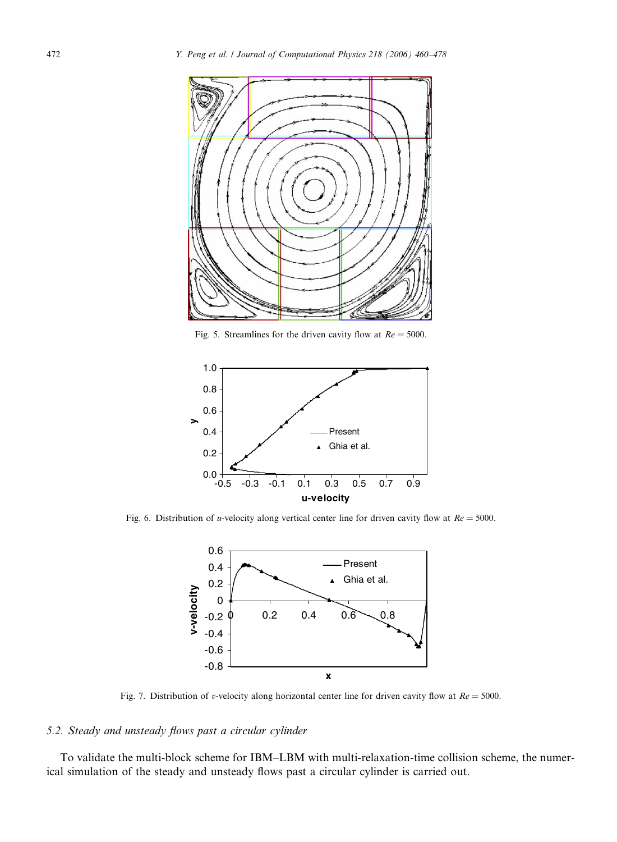<span id="page-12-0"></span>

Fig. 5. Streamlines for the driven cavity flow at  $Re = 5000$ .



Fig. 6. Distribution of u-velocity along vertical center line for driven cavity flow at  $Re = 5000$ .



Fig. 7. Distribution of v-velocity along horizontal center line for driven cavity flow at  $Re = 5000$ .

# 5.2. Steady and unsteady flows past a circular cylinder

To validate the multi-block scheme for IBM–LBM with multi-relaxation-time collision scheme, the numerical simulation of the steady and unsteady flows past a circular cylinder is carried out.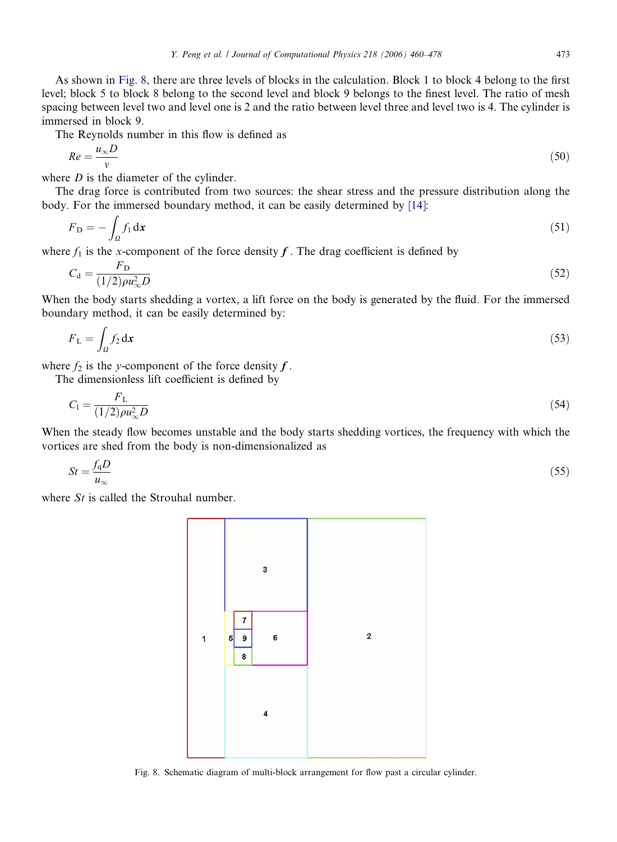<span id="page-13-0"></span>As shown in Fig. 8, there are three levels of blocks in the calculation. Block 1 to block 4 belong to the first level; block 5 to block 8 belong to the second level and block 9 belongs to the finest level. The ratio of mesh spacing between level two and level one is 2 and the ratio between level three and level two is 4. The cylinder is immersed in block 9.

The Reynolds number in this flow is defined as

$$
Re = \frac{u_{\infty}D}{v} \tag{50}
$$

where  $D$  is the diameter of the cylinder.

The drag force is contributed from two sources: the shear stress and the pressure distribution along the body. For the immersed boundary method, it can be easily determined by [\[14\]:](#page-18-0)

$$
F_{\mathbf{D}} = -\int_{\Omega} f_1 \, \mathrm{d}\mathbf{x} \tag{51}
$$

where  $f_1$  is the x-component of the force density  $f$ . The drag coefficient is defined by

$$
C_{\rm d} = \frac{F_{\rm D}}{(1/2)\rho u_{\infty}^2 D} \tag{52}
$$

When the body starts shedding a vortex, a lift force on the body is generated by the fluid. For the immersed boundary method, it can be easily determined by:

$$
F_{\rm L} = \int_{\Omega} f_2 \, \mathrm{d}x \tag{53}
$$

where  $f_2$  is the y-component of the force density  $f$ .

The dimensionless lift coefficient is defined by

$$
C_1 = \frac{F_L}{(1/2)\rho u_{\infty}^2 D} \tag{54}
$$

When the steady flow becomes unstable and the body starts shedding vortices, the frequency with which the vortices are shed from the body is non-dimensionalized as

$$
St = \frac{f_q D}{u_\infty} \tag{55}
$$

where  $St$  is called the Strouhal number.

![](_page_13_Figure_17.jpeg)

Fig. 8. Schematic diagram of multi-block arrangement for flow past a circular cylinder.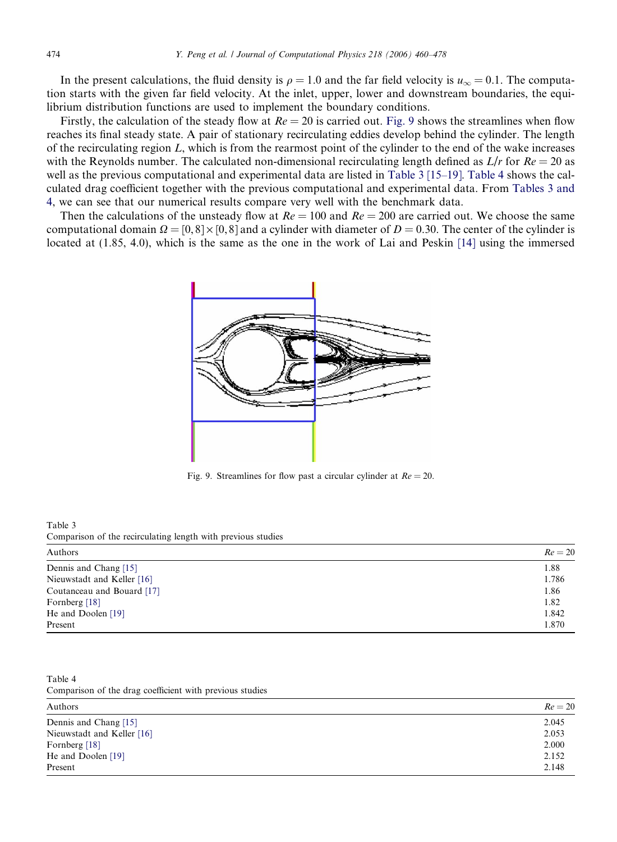In the present calculations, the fluid density is  $\rho = 1.0$  and the far field velocity is  $u_{\infty} = 0.1$ . The computation starts with the given far field velocity. At the inlet, upper, lower and downstream boundaries, the equilibrium distribution functions are used to implement the boundary conditions.

Firstly, the calculation of the steady flow at  $Re = 20$  is carried out. Fig. 9 shows the streamlines when flow reaches its final steady state. A pair of stationary recirculating eddies develop behind the cylinder. The length of the recirculating region  $L$ , which is from the rearmost point of the cylinder to the end of the wake increases with the Reynolds number. The calculated non-dimensional recirculating length defined as  $L/r$  for  $Re = 20$  as well as the previous computational and experimental data are listed in Table 3 [\[15–19\]](#page-18-0). Table 4 shows the calculated drag coefficient together with the previous computational and experimental data. From Tables 3 and 4, we can see that our numerical results compare very well with the benchmark data.

Then the calculations of the unsteady flow at  $Re = 100$  and  $Re = 200$  are carried out. We choose the same computational domain  $\Omega = [0, 8] \times [0, 8]$  and a cylinder with diameter of  $D = 0.30$ . The center of the cylinder is located at (1.85, 4.0), which is the same as the one in the work of Lai and Peskin [\[14\]](#page-18-0) using the immersed

![](_page_14_Figure_4.jpeg)

Fig. 9. Streamlines for flow past a circular cylinder at  $Re = 20$ .

Table 3 Comparison of the recirculating length with previous studies

| Authors                    | $Re = 20$ |
|----------------------------|-----------|
| Dennis and Chang [15]      | 1.88      |
| Nieuwstadt and Keller [16] | 1.786     |
| Coutanceau and Bouard [17] | 1.86      |
| Fornberg [18]              | 1.82      |
| He and Doolen [19]         | 1.842     |
| Present                    | 1.870     |

Table 4 Comparison of the drag coefficient with previous studies

| Authors                    | $Re = 20$ |
|----------------------------|-----------|
| Dennis and Chang [15]      | 2.045     |
| Nieuwstadt and Keller [16] | 2.053     |
| Fornberg [18]              | 2.000     |
| He and Doolen [19]         | 2.152     |
| Present                    | 2.148     |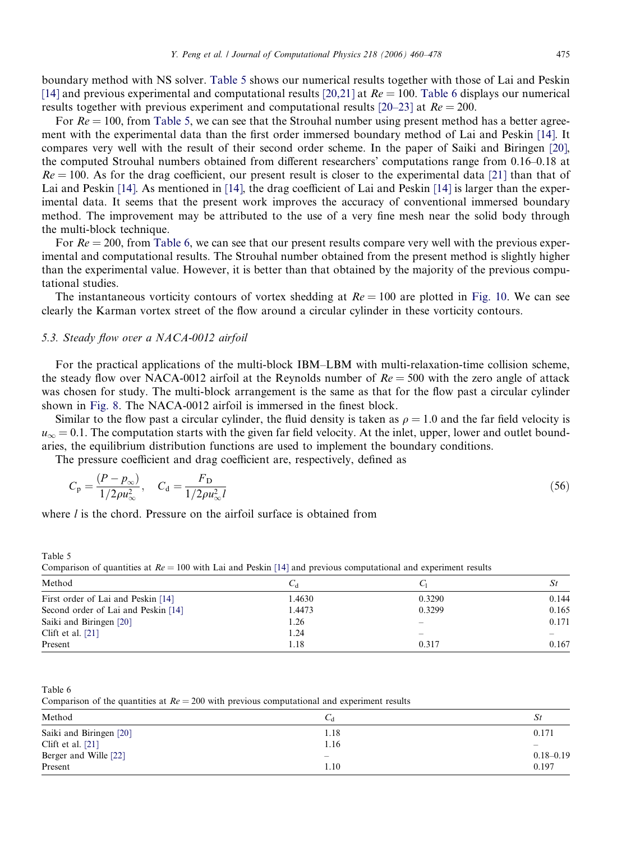<span id="page-15-0"></span>boundary method with NS solver. Table 5 shows our numerical results together with those of Lai and Peskin [\[14\]](#page-18-0) and previous experimental and computational results [\[20,21\]](#page-18-0) at  $Re = 100$ . Table 6 displays our numerical results together with previous experiment and computational results  $[20-23]$  at  $Re = 200$ .

For  $Re = 100$ , from Table 5, we can see that the Strouhal number using present method has a better agreement with the experimental data than the first order immersed boundary method of Lai and Peskin [\[14\].](#page-18-0) It compares very well with the result of their second order scheme. In the paper of Saiki and Biringen [\[20\]](#page-18-0), the computed Strouhal numbers obtained from different researchers' computations range from 0.16–0.18 at  $Re = 100$ . As for the drag coefficient, our present result is closer to the experimental data [\[21\]](#page-18-0) than that of Lai and Peskin [\[14\]](#page-18-0). As mentioned in [14], the drag coefficient of Lai and Peskin [14] is larger than the experimental data. It seems that the present work improves the accuracy of conventional immersed boundary method. The improvement may be attributed to the use of a very fine mesh near the solid body through the multi-block technique.

For  $Re = 200$ , from Table 6, we can see that our present results compare very well with the previous experimental and computational results. The Strouhal number obtained from the present method is slightly higher than the experimental value. However, it is better than that obtained by the majority of the previous computational studies.

The instantaneous vorticity contours of vortex shedding at  $Re = 100$  are plotted in [Fig. 10](#page-16-0). We can see clearly the Karman vortex street of the flow around a circular cylinder in these vorticity contours.

## 5.3. Steady flow over a NACA-0012 airfoil

For the practical applications of the multi-block IBM–LBM with multi-relaxation-time collision scheme, the steady flow over NACA-0012 airfoil at the Reynolds number of  $Re = 500$  with the zero angle of attack was chosen for study. The multi-block arrangement is the same as that for the flow past a circular cylinder shown in [Fig. 8.](#page-13-0) The NACA-0012 airfoil is immersed in the finest block.

Similar to the flow past a circular cylinder, the fluid density is taken as  $\rho = 1.0$  and the far field velocity is  $u_{\infty} = 0.1$ . The computation starts with the given far field velocity. At the inlet, upper, lower and outlet boundaries, the equilibrium distribution functions are used to implement the boundary conditions.

The pressure coefficient and drag coefficient are, respectively, defined as

$$
C_{\rm p} = \frac{(P - p_{\infty})}{1/2\rho u_{\infty}^2}, \quad C_{\rm d} = \frac{F_{\rm D}}{1/2\rho u_{\infty}^2 l} \tag{56}
$$

where  $l$  is the chord. Pressure on the airfoil surface is obtained from

Comparison of quantities at  $Re = 100$  with Lai and Peskin [\[14\]](#page-18-0) and previous computational and experiment results

| Method                              |        |                          | St    |
|-------------------------------------|--------|--------------------------|-------|
| First order of Lai and Peskin [14]  | 1.4630 | 0.3290                   | 0.144 |
| Second order of Lai and Peskin [14] | 1.4473 | 0.3299                   | 0.165 |
| Saiki and Biringen [20]             | 1.26   |                          | 0.171 |
| Clift et al. $[21]$                 | 1.24   | $\overline{\phantom{a}}$ |       |
| Present                             | 1.18   | 0.317                    | 0.167 |

Table 6

Table 5

Comparison of the quantities at  $Re = 200$  with previous computational and experiment results

| Method                  | ∪d                              | St                |
|-------------------------|---------------------------------|-------------------|
| Saiki and Biringen [20] | 1.18                            | 0.171             |
| Clift et al. $[21]$     | 1.16                            | $\hspace{0.05cm}$ |
| Berger and Wille [22]   | $\hspace{0.1mm}-\hspace{0.1mm}$ | $0.18 - 0.19$     |
| Present                 | 1.10                            | 0.197             |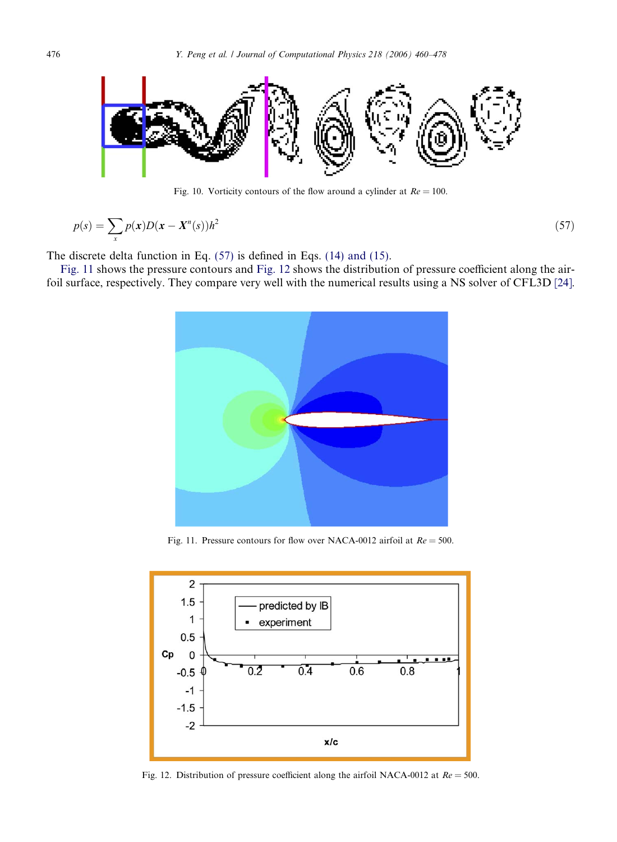<span id="page-16-0"></span>![](_page_16_Figure_1.jpeg)

Fig. 10. Vorticity contours of the flow around a cylinder at  $Re = 100$ .

$$
p(s) = \sum_{x} p(x)D(x - X^n(s))h^2
$$
\n<sup>(57)</sup>

The discrete delta function in Eq. [\(57\)](#page-15-0) is defined in Eqs. [\(14\) and \(15\)](#page-4-0).

Fig. 11 shows the pressure contours and Fig. 12 shows the distribution of pressure coefficient along the airfoil surface, respectively. They compare very well with the numerical results using a NS solver of CFL3D [\[24\].](#page-18-0)

![](_page_16_Picture_6.jpeg)

Fig. 11. Pressure contours for flow over NACA-0012 airfoil at  $Re = 500$ .

![](_page_16_Figure_8.jpeg)

Fig. 12. Distribution of pressure coefficient along the airfoil NACA-0012 at  $Re = 500$ .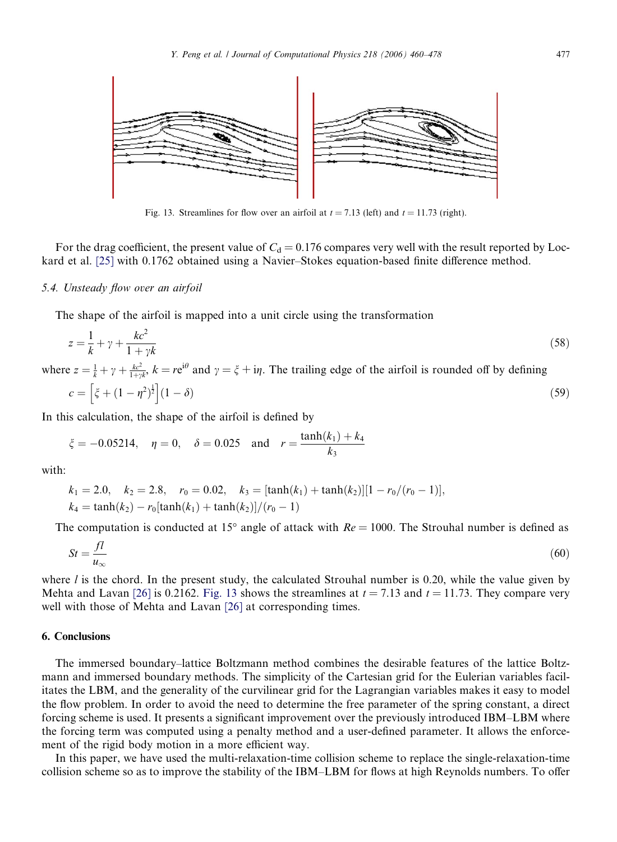![](_page_17_Figure_1.jpeg)

Fig. 13. Streamlines for flow over an airfoil at  $t = 7.13$  (left) and  $t = 11.73$  (right).

For the drag coefficient, the present value of  $C<sub>d</sub> = 0.176$  compares very well with the result reported by Lockard et al. [\[25\]](#page-18-0) with 0.1762 obtained using a Navier–Stokes equation-based finite difference method.

## 5.4. Unsteady flow over an airfoil

The shape of the airfoil is mapped into a unit circle using the transformation

$$
z = \frac{1}{k} + \gamma + \frac{kc^2}{1 + \gamma k} \tag{58}
$$

where  $z = \frac{1}{k} + \gamma + \frac{kc^2}{1+\gamma k}$ ,  $k = re^{i\theta}$  and  $\gamma = \xi + i\eta$ . The trailing edge of the airfoil is rounded off by defining  $c = \left[\zeta + (1 - \eta^2)^{\frac{1}{2}}\right](1 - \delta)$  (59)

In this calculation, the shape of the airfoil is defined by

$$
\xi = -0.05214
$$
,  $\eta = 0$ ,  $\delta = 0.025$  and  $r = \frac{\tanh(k_1) + k_4}{k_3}$ 

with:

$$
k_1 = 2.0, \quad k_2 = 2.8, \quad r_0 = 0.02, \quad k_3 = [\tanh(k_1) + \tanh(k_2)][1 - r_0/(r_0 - 1)],
$$
  

$$
k_4 = \tanh(k_2) - r_0[\tanh(k_1) + \tanh(k_2)]/(r_0 - 1)
$$

The computation is conducted at 15° angle of attack with  $Re = 1000$ . The Strouhal number is defined as

$$
St = \frac{fl}{u_{\infty}}\tag{60}
$$

where  $l$  is the chord. In the present study, the calculated Strouhal number is 0.20, while the value given by Mehta and Lavan [\[26\]](#page-18-0) is 0.2162. Fig. 13 shows the streamlines at  $t = 7.13$  and  $t = 11.73$ . They compare very well with those of Mehta and Lavan [\[26\]](#page-18-0) at corresponding times.

# 6. Conclusions

The immersed boundary–lattice Boltzmann method combines the desirable features of the lattice Boltzmann and immersed boundary methods. The simplicity of the Cartesian grid for the Eulerian variables facilitates the LBM, and the generality of the curvilinear grid for the Lagrangian variables makes it easy to model the flow problem. In order to avoid the need to determine the free parameter of the spring constant, a direct forcing scheme is used. It presents a significant improvement over the previously introduced IBM–LBM where the forcing term was computed using a penalty method and a user-defined parameter. It allows the enforcement of the rigid body motion in a more efficient way.

In this paper, we have used the multi-relaxation-time collision scheme to replace the single-relaxation-time collision scheme so as to improve the stability of the IBM–LBM for flows at high Reynolds numbers. To offer